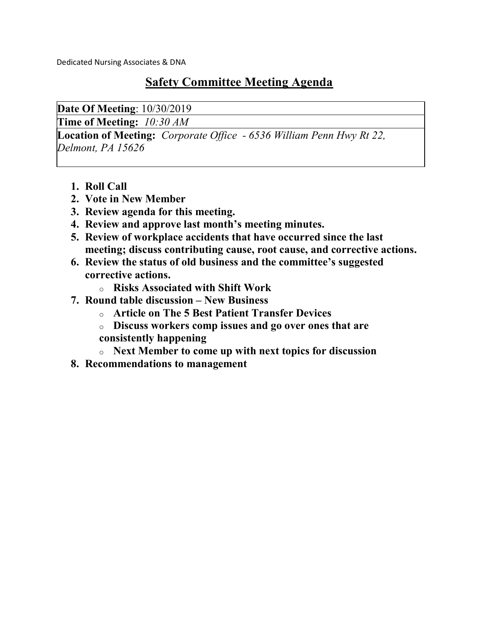Dedicated Nursing Associates & DNA

### Safety Committee Meeting Agenda

Date Of Meeting: 10/30/2019

Time of Meeting:  $10:30 AM$ 

**Location of Meeting:** Corporate Office - 6536 William Penn Hwy Rt 22, Delmont, PA 15626

- 1. Roll Call
- 2. Vote in New Member
- 3. Review agenda for this meeting.
- 4. Review and approve last month's meeting minutes.
- 5. Review of workplace accidents that have occurred since the last meeting; discuss contributing cause, root cause, and corrective actions.
- 6. Review the status of old business and the committee's suggested corrective actions.
	- o Risks Associated with Shift Work
- 7. Round table discussion New Business
	- o Article on The 5 Best Patient Transfer Devices
	- o Discuss workers comp issues and go over ones that are consistently happening
	- o Next Member to come up with next topics for discussion
- 8. Recommendations to management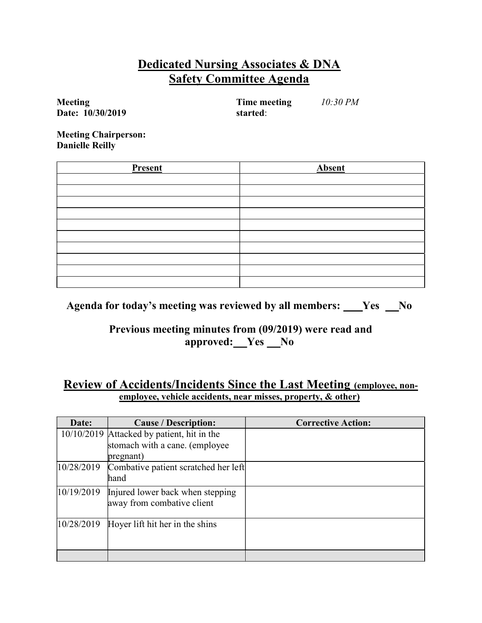### Dedicated Nursing Associates & DNA Safety Committee Agenda

Meeting Date: 10/30/2019  Time meeting started: 10:30 PM

Meeting Chairperson: Danielle Reilly

| Present | <b>Absent</b> |
|---------|---------------|
|         |               |
|         |               |
|         |               |
|         |               |
|         |               |
|         |               |
|         |               |
|         |               |
|         |               |
|         |               |

Agenda for today's meeting was reviewed by all members:  $\_\_\_\$  Yes  $\_\_\$ 

#### Previous meeting minutes from (09/2019) were read and approved: Yes No

#### Review of Accidents/Incidents Since the Last Meeting (employee, nonemployee, vehicle accidents, near misses, property, & other)

| Date:      | <b>Cause / Description:</b>                                    | <b>Corrective Action:</b> |
|------------|----------------------------------------------------------------|---------------------------|
|            | 10/10/2019 Attacked by patient, hit in the                     |                           |
|            | stomach with a cane. (employee)                                |                           |
|            | pregnant)                                                      |                           |
| 10/28/2019 | Combative patient scratched her left<br>hand                   |                           |
| 10/19/2019 | Injured lower back when stepping<br>away from combative client |                           |
| 10/28/2019 | Hoyer lift hit her in the shins                                |                           |
|            |                                                                |                           |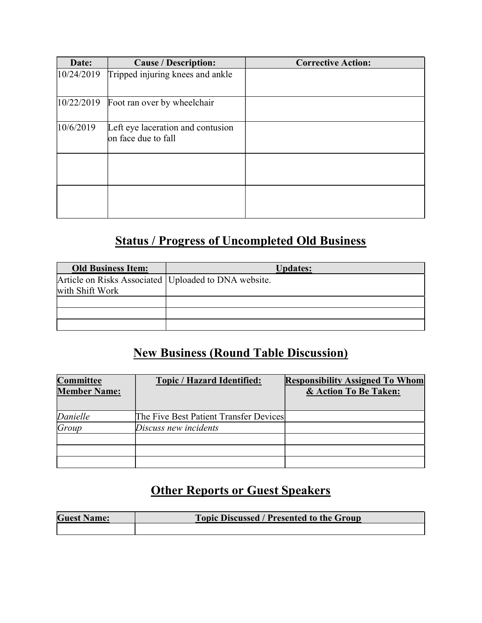| Date:      | <b>Cause / Description:</b>                              | <b>Corrective Action:</b> |
|------------|----------------------------------------------------------|---------------------------|
| 10/24/2019 | Tripped injuring knees and ankle                         |                           |
| 10/22/2019 | Foot ran over by wheelchair                              |                           |
| 10/6/2019  | Left eye laceration and contusion<br>on face due to fall |                           |
|            |                                                          |                           |
|            |                                                          |                           |

# Status / Progress of Uncompleted Old Business

| <b>Old Business Item:</b>                              | <b>Updates:</b> |
|--------------------------------------------------------|-----------------|
| Article on Risks Associated   Uploaded to DNA website. |                 |
| with Shift Work                                        |                 |
|                                                        |                 |
|                                                        |                 |
|                                                        |                 |

## New Business (Round Table Discussion)

| Committee<br><b>Member Name:</b> | <b>Topic / Hazard Identified:</b>      | <b>Responsibility Assigned To Whom</b><br>& Action To Be Taken: |
|----------------------------------|----------------------------------------|-----------------------------------------------------------------|
| Danielle                         | The Five Best Patient Transfer Devices |                                                                 |
| Group                            | Discuss new incidents                  |                                                                 |
|                                  |                                        |                                                                 |
|                                  |                                        |                                                                 |
|                                  |                                        |                                                                 |

## **Other Reports or Guest Speakers**

| <b>Guest Name:</b> | <b>Topic Discussed / Presented to the Group</b> |
|--------------------|-------------------------------------------------|
|                    |                                                 |